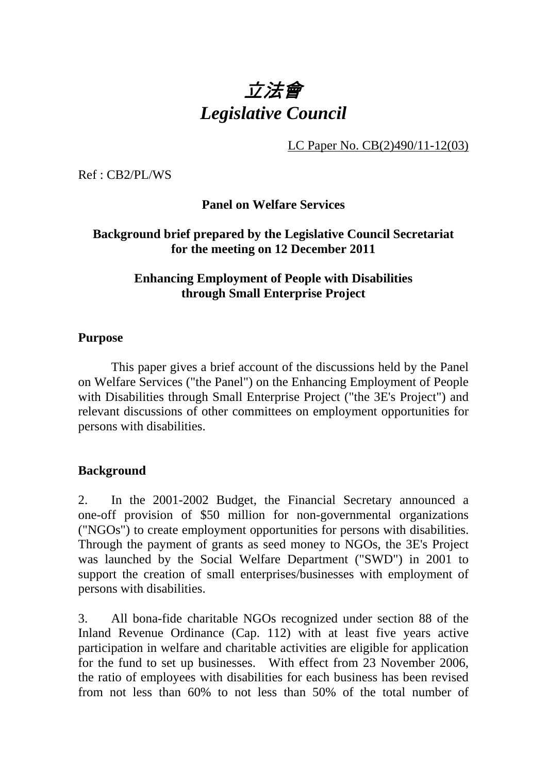# 立法會 *Legislative Council*

LC Paper No. CB(2)490/11-12(03)

Ref : CB2/PL/WS

**Panel on Welfare Services** 

## **Background brief prepared by the Legislative Council Secretariat for the meeting on 12 December 2011**

## **Enhancing Employment of People with Disabilities through Small Enterprise Project**

## **Purpose**

1 This paper gives a brief account of the discussions held by the Panel on Welfare Services ("the Panel") on the Enhancing Employment of People with Disabilities through Small Enterprise Project ("the 3E's Project") and relevant discussions of other committees on employment opportunities for persons with disabilities.

## **Background**

2. In the 2001-2002 Budget, the Financial Secretary announced a one-off provision of \$50 million for non-governmental organizations ("NGOs") to create employment opportunities for persons with disabilities. Through the payment of grants as seed money to NGOs, the 3E's Project was launched by the Social Welfare Department ("SWD") in 2001 to support the creation of small enterprises/businesses with employment of persons with disabilities.

3. All bona-fide charitable NGOs recognized under section 88 of the Inland Revenue Ordinance (Cap. 112) with at least five years active participation in welfare and charitable activities are eligible for application for the fund to set up businesses. With effect from 23 November 2006, the ratio of employees with disabilities for each business has been revised from not less than 60% to not less than 50% of the total number of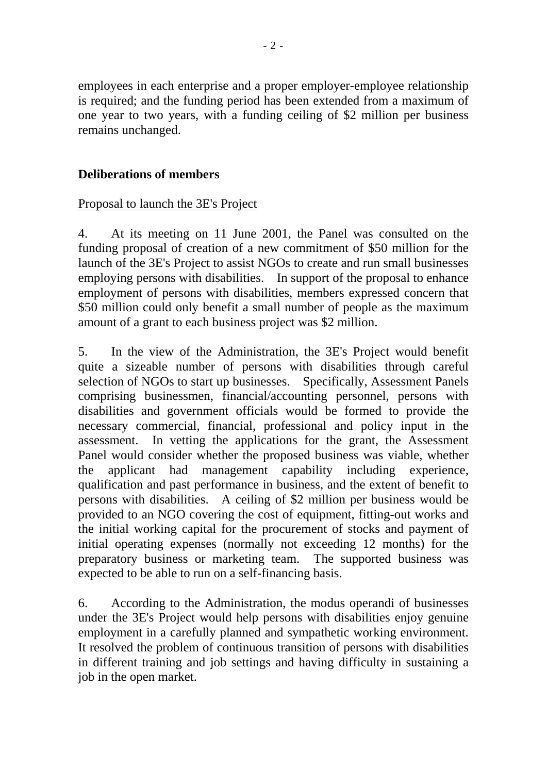employees in each enterprise and a proper employer-employee relationship is required; and the funding period has been extended from a maximum of one year to two years, with a funding ceiling of \$2 million per business remains unchanged.

# **Deliberations of members**

## Proposal to launch the 3E's Project

4. At its meeting on 11 June 2001, the Panel was consulted on the funding proposal of creation of a new commitment of \$50 million for the launch of the 3E's Project to assist NGOs to create and run small businesses employing persons with disabilities. In support of the proposal to enhance employment of persons with disabilities, members expressed concern that \$50 million could only benefit a small number of people as the maximum amount of a grant to each business project was \$2 million.

5. In the view of the Administration, the 3E's Project would benefit quite a sizeable number of persons with disabilities through careful selection of NGOs to start up businesses. Specifically, Assessment Panels comprising businessmen, financial/accounting personnel, persons with disabilities and government officials would be formed to provide the necessary commercial, financial, professional and policy input in the assessment. In vetting the applications for the grant, the Assessment Panel would consider whether the proposed business was viable, whether the applicant had management capability including experience, qualification and past performance in business, and the extent of benefit to persons with disabilities. A ceiling of \$2 million per business would be provided to an NGO covering the cost of equipment, fitting-out works and the initial working capital for the procurement of stocks and payment of initial operating expenses (normally not exceeding 12 months) for the preparatory business or marketing team. The supported business was expected to be able to run on a self-financing basis.

6. According to the Administration, the modus operandi of businesses under the 3E's Project would help persons with disabilities enjoy genuine employment in a carefully planned and sympathetic working environment. It resolved the problem of continuous transition of persons with disabilities in different training and job settings and having difficulty in sustaining a job in the open market.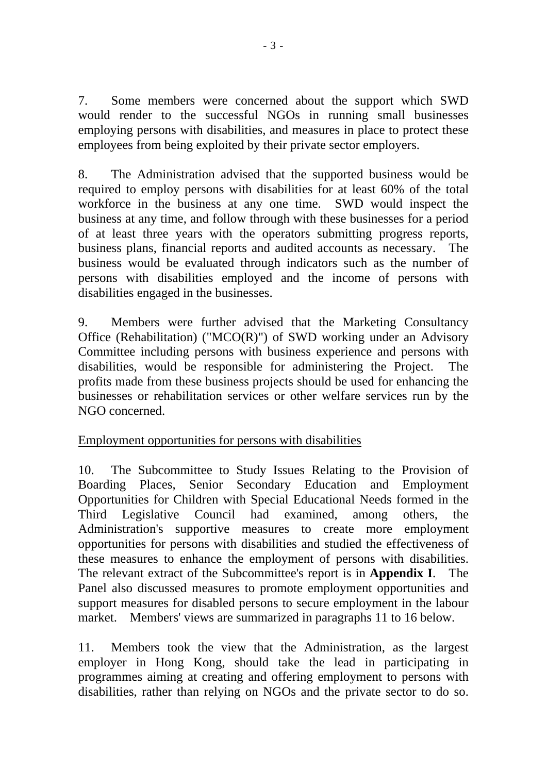7. Some members were concerned about the support which SWD would render to the successful NGOs in running small businesses employing persons with disabilities, and measures in place to protect these employees from being exploited by their private sector employers.

8. The Administration advised that the supported business would be required to employ persons with disabilities for at least 60% of the total workforce in the business at any one time. SWD would inspect the business at any time, and follow through with these businesses for a period of at least three years with the operators submitting progress reports, business plans, financial reports and audited accounts as necessary. The business would be evaluated through indicators such as the number of persons with disabilities employed and the income of persons with disabilities engaged in the businesses.

9. Members were further advised that the Marketing Consultancy Office (Rehabilitation) (" $MCO(R)$ ") of SWD working under an Advisory Committee including persons with business experience and persons with disabilities, would be responsible for administering the Project. The profits made from these business projects should be used for enhancing the businesses or rehabilitation services or other welfare services run by the NGO concerned.

# Employment opportunities for persons with disabilities

10. The Subcommittee to Study Issues Relating to the Provision of Boarding Places, Senior Secondary Education and Employment Opportunities for Children with Special Educational Needs formed in the Third Legislative Council had examined, among others, the Administration's supportive measures to create more employment opportunities for persons with disabilities and studied the effectiveness of these measures to enhance the employment of persons with disabilities. The relevant extract of the Subcommittee's report is in **Appendix I**. The Panel also discussed measures to promote employment opportunities and support measures for disabled persons to secure employment in the labour market. Members' views are summarized in paragraphs 11 to 16 below.

11. Members took the view that the Administration, as the largest employer in Hong Kong, should take the lead in participating in programmes aiming at creating and offering employment to persons with disabilities, rather than relying on NGOs and the private sector to do so.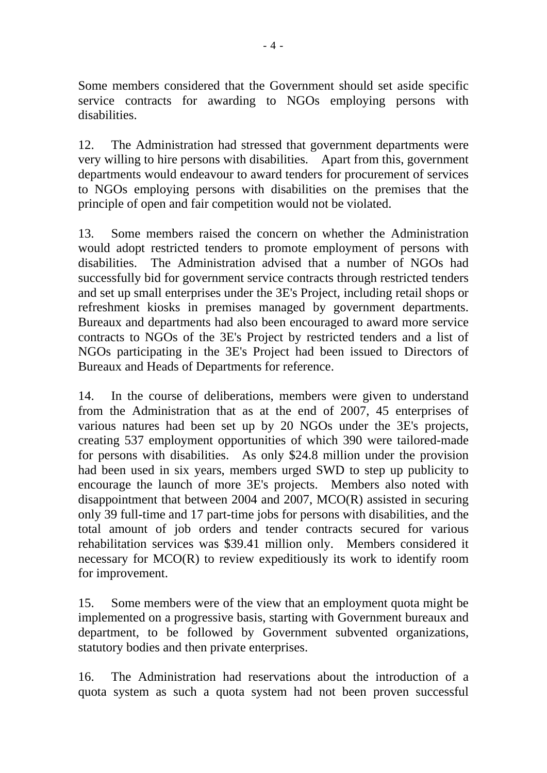Some members considered that the Government should set aside specific service contracts for awarding to NGOs employing persons with disabilities.

12. The Administration had stressed that government departments were very willing to hire persons with disabilities. Apart from this, government departments would endeavour to award tenders for procurement of services to NGOs employing persons with disabilities on the premises that the principle of open and fair competition would not be violated.

13. Some members raised the concern on whether the Administration would adopt restricted tenders to promote employment of persons with disabilities. The Administration advised that a number of NGOs had successfully bid for government service contracts through restricted tenders and set up small enterprises under the 3E's Project, including retail shops or refreshment kiosks in premises managed by government departments. Bureaux and departments had also been encouraged to award more service contracts to NGOs of the 3E's Project by restricted tenders and a list of NGOs participating in the 3E's Project had been issued to Directors of Bureaux and Heads of Departments for reference.

14. In the course of deliberations, members were given to understand from the Administration that as at the end of 2007, 45 enterprises of various natures had been set up by 20 NGOs under the 3E's projects, creating 537 employment opportunities of which 390 were tailored-made for persons with disabilities. As only \$24.8 million under the provision had been used in six years, members urged SWD to step up publicity to encourage the launch of more 3E's projects. Members also noted with disappointment that between 2004 and 2007, MCO(R) assisted in securing only 39 full-time and 17 part-time jobs for persons with disabilities, and the total amount of job orders and tender contracts secured for various rehabilitation services was \$39.41 million only. Members considered it necessary for MCO(R) to review expeditiously its work to identify room for improvement.

15. Some members were of the view that an employment quota might be implemented on a progressive basis, starting with Government bureaux and department, to be followed by Government subvented organizations, statutory bodies and then private enterprises.

16. The Administration had reservations about the introduction of a quota system as such a quota system had not been proven successful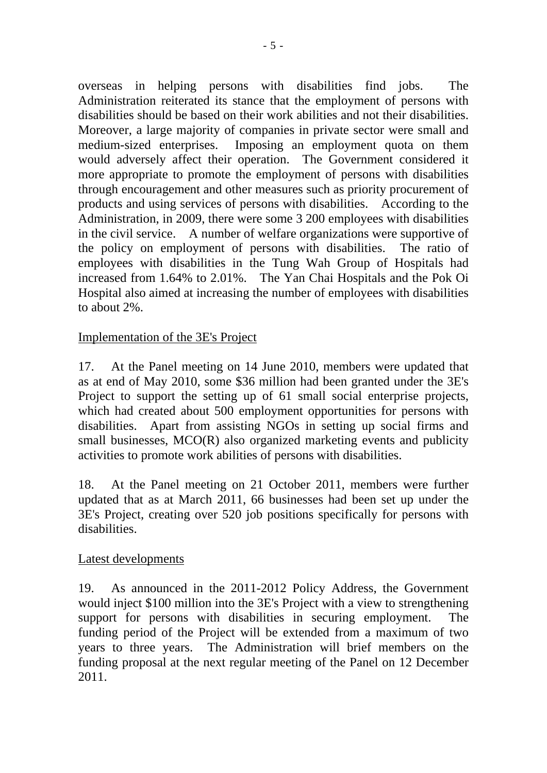overseas in helping persons with disabilities find jobs. The Administration reiterated its stance that the employment of persons with disabilities should be based on their work abilities and not their disabilities. Moreover, a large majority of companies in private sector were small and medium-sized enterprises. Imposing an employment quota on them would adversely affect their operation. The Government considered it more appropriate to promote the employment of persons with disabilities through encouragement and other measures such as priority procurement of products and using services of persons with disabilities. According to the Administration, in 2009, there were some 3,200 employees with disabilities in the civil service. A number of welfare organizations were supportive of the policy on employment of persons with disabilities. The ratio of employees with disabilities in the Tung Wah Group of Hospitals had increased from 1.64% to 2.01%. The Yan Chai Hospitals and the Pok Oi Hospital also aimed at increasing the number of employees with disabilities to about 2%.

## Implementation of the 3E's Project

17. At the Panel meeting on 14 June 2010, members were updated that as at end of May 2010, some \$36 million had been granted under the 3E's Project to support the setting up of 61 small social enterprise projects, which had created about 500 employment opportunities for persons with disabilities. Apart from assisting NGOs in setting up social firms and small businesses, MCO(R) also organized marketing events and publicity activities to promote work abilities of persons with disabilities.

18. At the Panel meeting on 21 October 2011, members were further updated that as at March 2011, 66 businesses had been set up under the 3E's Project, creating over 520 job positions specifically for persons with disabilities.

## Latest developments

19. As announced in the 2011-2012 Policy Address, the Government would inject \$100 million into the 3E's Project with a view to strengthening support for persons with disabilities in securing employment. The funding period of the Project will be extended from a maximum of two years to three years. The Administration will brief members on the funding proposal at the next regular meeting of the Panel on 12 December 2011.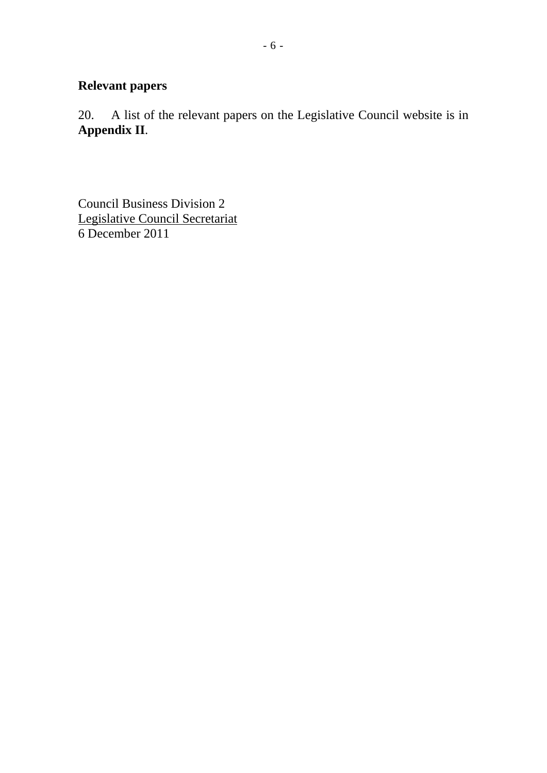# **Relevant papers**

20. A list of the relevant papers on the Legislative Council website is in **Appendix II**.

Council Business Division 2 Legislative Council Secretariat 6 December 2011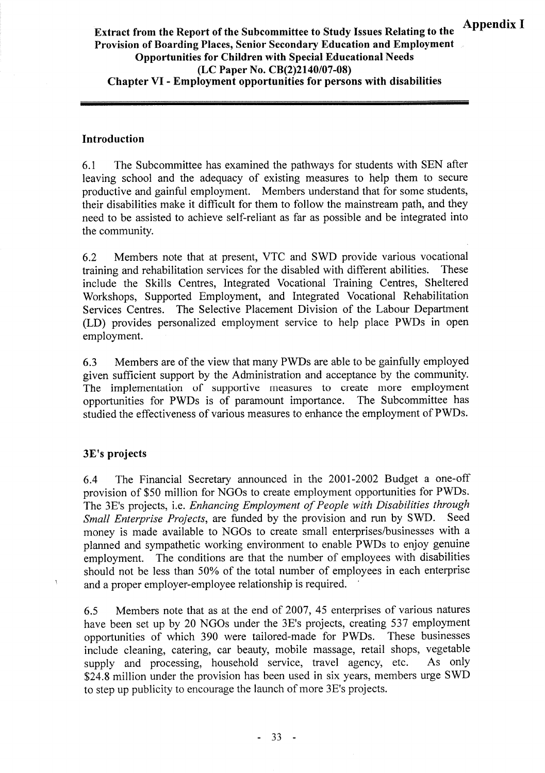## Extract from the Report of the Subcommittee to Study Issues Relating to the Provision of Boarding Places, Senior Secondary Education and Employment **Opportunities for Children with Special Educational Needs** (LC Paper No. CB(2)2140/07-08) **Chapter VI - Employment opportunities for persons with disabilities**

#### Introduction

6.1 The Subcommittee has examined the pathways for students with SEN after leaving school and the adequacy of existing measures to help them to secure productive and gainful employment. Members understand that for some students, their disabilities make it difficult for them to follow the mainstream path, and they need to be assisted to achieve self-reliant as far as possible and be integrated into the community.

Members note that at present, VTC and SWD provide various vocational 6.2 training and rehabilitation services for the disabled with different abilities. These include the Skills Centres, Integrated Vocational Training Centres, Sheltered Workshops, Supported Employment, and Integrated Vocational Rehabilitation Services Centres. The Selective Placement Division of the Labour Department (LD) provides personalized employment service to help place PWDs in open employment.

Members are of the view that many PWDs are able to be gainfully employed 6.3 given sufficient support by the Administration and acceptance by the community. The implementation of supportive measures to create more employment opportunities for PWDs is of paramount importance. The Subcommittee has studied the effectiveness of various measures to enhance the employment of PWDs.

## 3E's projects

Ą

The Financial Secretary announced in the 2001-2002 Budget a one-off 6.4 provision of \$50 million for NGOs to create employment opportunities for PWDs. The 3E's projects, i.e. Enhancing Employment of People with Disabilities through Small Enterprise Projects, are funded by the provision and run by SWD. Seed money is made available to NGOs to create small enterprises/businesses with a planned and sympathetic working environment to enable PWDs to enjoy genuine employment. The conditions are that the number of employees with disabilities should not be less than 50% of the total number of employees in each enterprise and a proper employer-employee relationship is required.

Members note that as at the end of 2007, 45 enterprises of various natures 6.5 have been set up by 20 NGOs under the 3E's projects, creating 537 employment opportunities of which 390 were tailored-made for PWDs. These businesses include cleaning, catering, car beauty, mobile massage, retail shops, vegetable supply and processing, household service, travel agency, etc. As only \$24.8 million under the provision has been used in six years, members urge SWD to step up publicity to encourage the launch of more 3E's projects.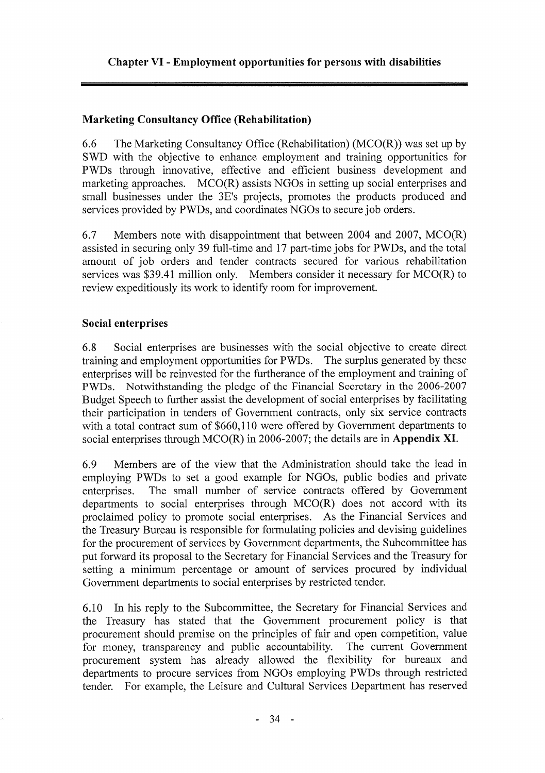## **Marketing Consultancy Office (Rehabilitation)**

6.6 The Marketing Consultancy Office (Rehabilitation) ( $MCO(R)$ ) was set up by SWD with the objective to enhance employment and training opportunities for PWDs through innovative, effective and efficient business development and marketing approaches. MCO(R) assists NGOs in setting up social enterprises and small businesses under the 3E's projects, promotes the products produced and services provided by PWDs, and coordinates NGOs to secure job orders.

6.7 Members note with disappointment that between 2004 and 2007, MCO(R) assisted in securing only 39 full-time and 17 part-time jobs for PWDs, and the total amount of job orders and tender contracts secured for various rehabilitation services was \$39.41 million only. Members consider it necessary for MCO(R) to review expeditiously its work to identify room for improvement.

#### **Social enterprises**

Social enterprises are businesses with the social objective to create direct 6.8 training and employment opportunities for PWDs. The surplus generated by these enterprises will be reinvested for the furtherance of the employment and training of PWDs. Notwithstanding the pledge of the Financial Secretary in the 2006-2007 Budget Speech to further assist the development of social enterprises by facilitating their participation in tenders of Government contracts, only six service contracts with a total contract sum of \$660,110 were offered by Government departments to social enterprises through  $MCO(R)$  in 2006-2007; the details are in Appendix XI.

Members are of the view that the Administration should take the lead in 6.9 employing PWDs to set a good example for NGOs, public bodies and private The small number of service contracts offered by Government enterprises. departments to social enterprises through  $MCO(R)$  does not accord with its proclaimed policy to promote social enterprises. As the Financial Services and the Treasury Bureau is responsible for formulating policies and devising guidelines for the procurement of services by Government departments, the Subcommittee has put forward its proposal to the Secretary for Financial Services and the Treasury for setting a minimum percentage or amount of services procured by individual Government departments to social enterprises by restricted tender.

In his reply to the Subcommittee, the Secretary for Financial Services and  $6.10$ the Treasury has stated that the Government procurement policy is that procurement should premise on the principles of fair and open competition, value for money, transparency and public accountability. The current Government procurement system has already allowed the flexibility for bureaux and departments to procure services from NGOs employing PWDs through restricted tender. For example, the Leisure and Cultural Services Department has reserved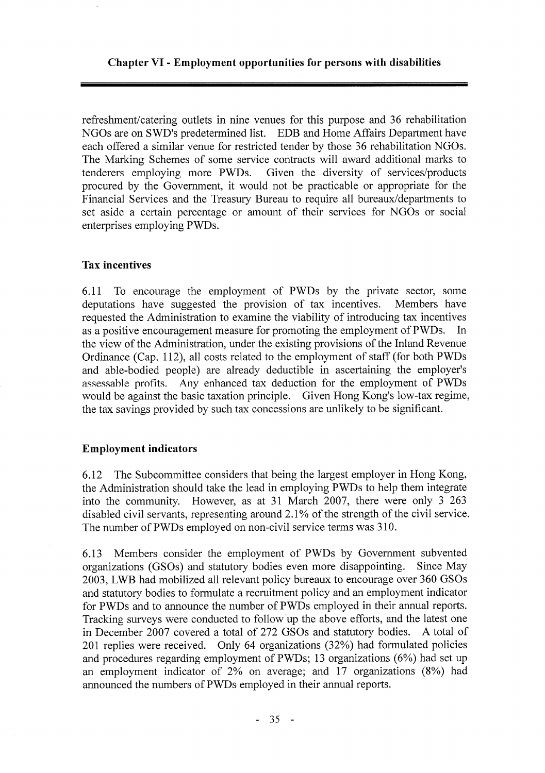#### Chapter VI - Employment opportunities for persons with disabilities

refreshment/catering outlets in nine venues for this purpose and 36 rehabilitation NGOs are on SWD's predetermined list. EDB and Home Affairs Department have each offered a similar venue for restricted tender by those 36 rehabilitation NGOs. The Marking Schemes of some service contracts will award additional marks to tenderers employing more PWDs. Given the diversity of services/products procured by the Government, it would not be practicable or appropriate for the Financial Services and the Treasury Bureau to require all bureaux/departments to set aside a certain percentage or amount of their services for NGOs or social enterprises employing PWDs.

#### **Tax incentives**

To encourage the employment of PWDs by the private sector, some 6.11 deputations have suggested the provision of tax incentives. Members have requested the Administration to examine the viability of introducing tax incentives as a positive encouragement measure for promoting the employment of PWDs.  $In$ the view of the Administration, under the existing provisions of the Inland Revenue Ordinance (Cap. 112), all costs related to the employment of staff (for both PWDs and able-bodied people) are already deductible in ascertaining the employer's assessable profits. Any enhanced tax deduction for the employment of PWDs Given Hong Kong's low-tax regime, would be against the basic taxation principle. the tax savings provided by such tax concessions are unlikely to be significant.

## **Employment indicators**

The Subcommittee considers that being the largest employer in Hong Kong, 6.12 the Administration should take the lead in employing PWDs to help them integrate into the community. However, as at 31 March 2007, there were only 3 263 disabled civil servants, representing around 2.1% of the strength of the civil service. The number of PWDs employed on non-civil service terms was 310.

Members consider the employment of PWDs by Government subvented 6.13 organizations (GSOs) and statutory bodies even more disappointing. Since May 2003, LWB had mobilized all relevant policy bureaux to encourage over 360 GSOs and statutory bodies to formulate a recruitment policy and an employment indicator for PWDs and to announce the number of PWDs employed in their annual reports. Tracking surveys were conducted to follow up the above efforts, and the latest one in December 2007 covered a total of 272 GSOs and statutory bodies. A total of 201 replies were received. Only 64 organizations (32%) had formulated policies and procedures regarding employment of PWDs; 13 organizations (6%) had set up an employment indicator of 2% on average; and 17 organizations (8%) had announced the numbers of PWDs employed in their annual reports.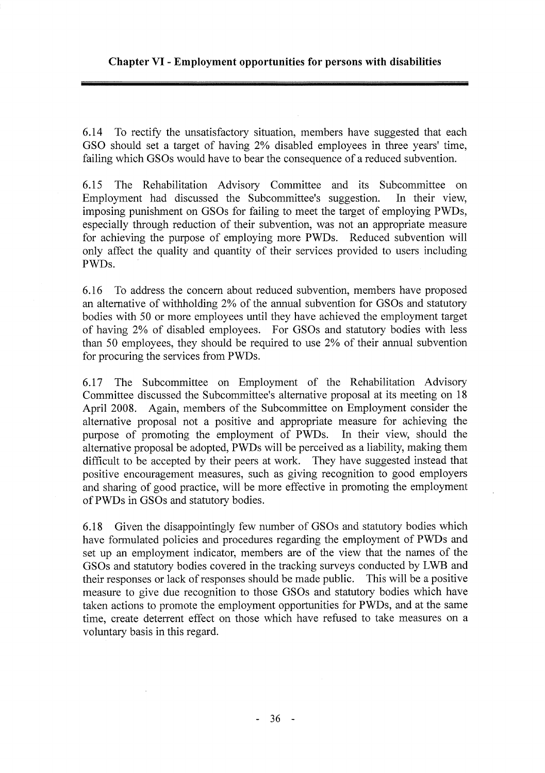6.14 To rectify the unsatisfactory situation, members have suggested that each GSO should set a target of having 2% disabled employees in three years' time, failing which GSOs would have to bear the consequence of a reduced subvention.

The Rehabilitation Advisory Committee and its Subcommittee on 6.15 Employment had discussed the Subcommittee's suggestion. In their view. imposing punishment on GSOs for failing to meet the target of employing PWDs, especially through reduction of their subvention, was not an appropriate measure for achieving the purpose of employing more PWDs. Reduced subvention will only affect the quality and quantity of their services provided to users including PWDs.

6.16 To address the concern about reduced subvention, members have proposed an alternative of withholding 2% of the annual subvention for GSOs and statutory bodies with 50 or more employees until they have achieved the employment target of having 2% of disabled employees. For GSOs and statutory bodies with less than 50 employees, they should be required to use 2% of their annual subvention for procuring the services from PWDs.

The Subcommittee on Employment of the Rehabilitation Advisory 6.17 Committee discussed the Subcommittee's alternative proposal at its meeting on 18 April 2008. Again, members of the Subcommittee on Employment consider the alternative proposal not a positive and appropriate measure for achieving the purpose of promoting the employment of PWDs. In their view, should the alternative proposal be adopted, PWDs will be perceived as a liability, making them difficult to be accepted by their peers at work. They have suggested instead that positive encouragement measures, such as giving recognition to good employers and sharing of good practice, will be more effective in promoting the employment of PWDs in GSOs and statutory bodies.

Given the disappointingly few number of GSOs and statutory bodies which 6.18 have formulated policies and procedures regarding the employment of PWDs and set up an employment indicator, members are of the view that the names of the GSOs and statutory bodies covered in the tracking surveys conducted by LWB and their responses or lack of responses should be made public. This will be a positive measure to give due recognition to those GSOs and statutory bodies which have taken actions to promote the employment opportunities for PWDs, and at the same time, create deterrent effect on those which have refused to take measures on a voluntary basis in this regard.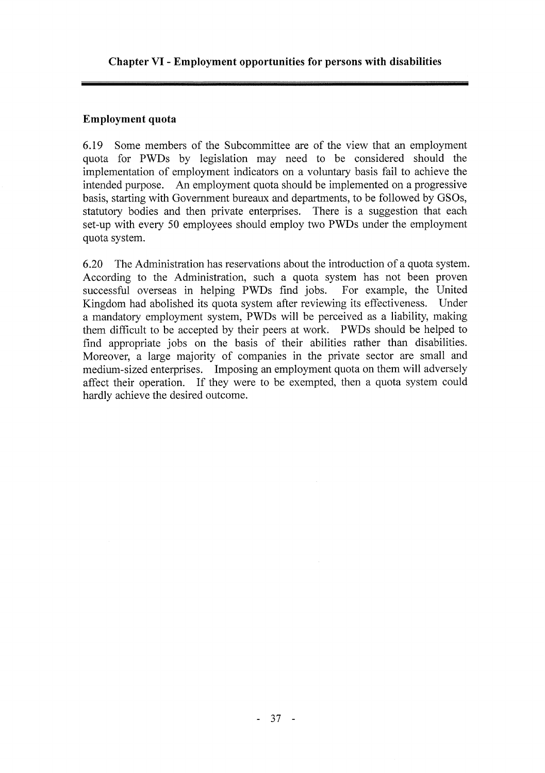#### Employment quota

Some members of the Subcommittee are of the view that an employment 6.19 quota for PWDs by legislation may need to be considered should the implementation of employment indicators on a voluntary basis fail to achieve the intended purpose. An employment quota should be implemented on a progressive basis, starting with Government bureaux and departments, to be followed by GSOs, statutory bodies and then private enterprises. There is a suggestion that each set-up with every 50 employees should employ two PWDs under the employment quota system.

The Administration has reservations about the introduction of a quota system.  $6.20$ According to the Administration, such a quota system has not been proven successful overseas in helping PWDs find jobs. For example, the United Kingdom had abolished its quota system after reviewing its effectiveness. Under a mandatory employment system, PWDs will be perceived as a liability, making them difficult to be accepted by their peers at work. PWDs should be helped to find appropriate jobs on the basis of their abilities rather than disabilities. Moreover, a large majority of companies in the private sector are small and medium-sized enterprises. Imposing an employment quota on them will adversely affect their operation. If they were to be exempted, then a quota system could hardly achieve the desired outcome.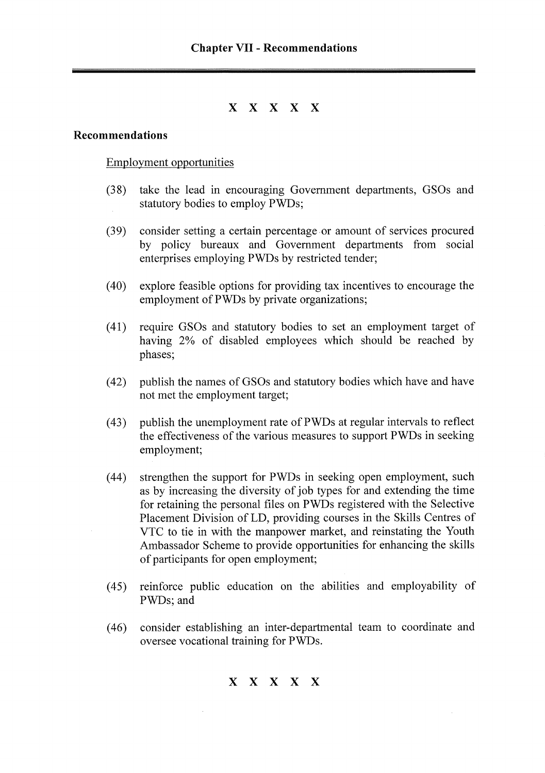## X X X X X

#### Recommendations

#### Employment opportunities

- $(38)$ take the lead in encouraging Government departments, GSOs and statutory bodies to employ PWDs;
- $(39)$ consider setting a certain percentage or amount of services procured by policy bureaux and Government departments from social enterprises employing PWDs by restricted tender;
- $(40)$ explore feasible options for providing tax incentives to encourage the employment of PWDs by private organizations;
- $(41)$ require GSOs and statutory bodies to set an employment target of having 2% of disabled employees which should be reached by phases;
- publish the names of GSOs and statutory bodies which have and have  $(42)$ not met the employment target;
- publish the unemployment rate of PWDs at regular intervals to reflect  $(43)$ the effectiveness of the various measures to support PWDs in seeking employment;
- $(44)$ strengthen the support for PWDs in seeking open employment, such as by increasing the diversity of job types for and extending the time for retaining the personal files on PWDs registered with the Selective Placement Division of LD, providing courses in the Skills Centres of VTC to tie in with the manpower market, and reinstating the Youth Ambassador Scheme to provide opportunities for enhancing the skills of participants for open employment;
- $(45)$ reinforce public education on the abilities and employability of PWDs; and
- consider establishing an inter-departmental team to coordinate and  $(46)$ oversee vocational training for PWDs.

X X X X X